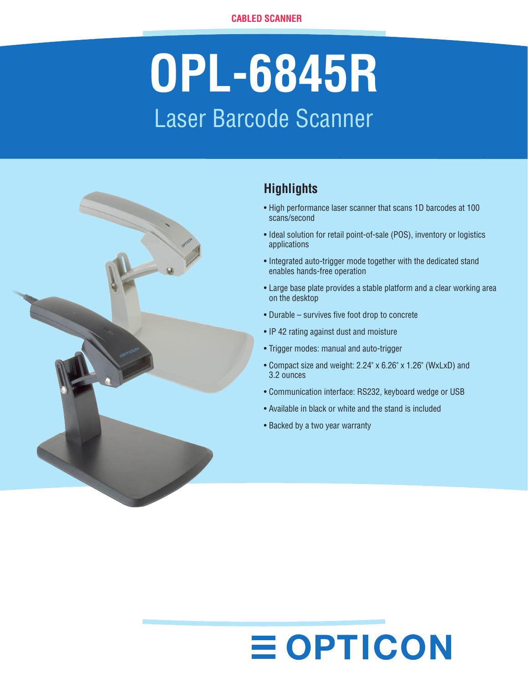# **OPL-6845R** Laser Barcode Scanner



# **Highlights**

- High performance laser scanner that scans 1D barcodes at 100 scans/second
- Ideal solution for retail point-of-sale (POS), inventory or logistics applications
- Integrated auto-trigger mode together with the dedicated stand enables hands-free operation
- Large base plate provides a stable platform and a clear working area on the desktop
- Durable survives five foot drop to concrete
- IP 42 rating against dust and moisture
- • Trigger modes: manual and auto-trigger
- • Compact size and weight: 2.24" x 6.26" x 1.26" (WxLxD) and 3.2 ounces
- Communication interface: RS232, keyboard wedge or USB
- Available in black or white and the stand is included
- Backed by a two year warranty